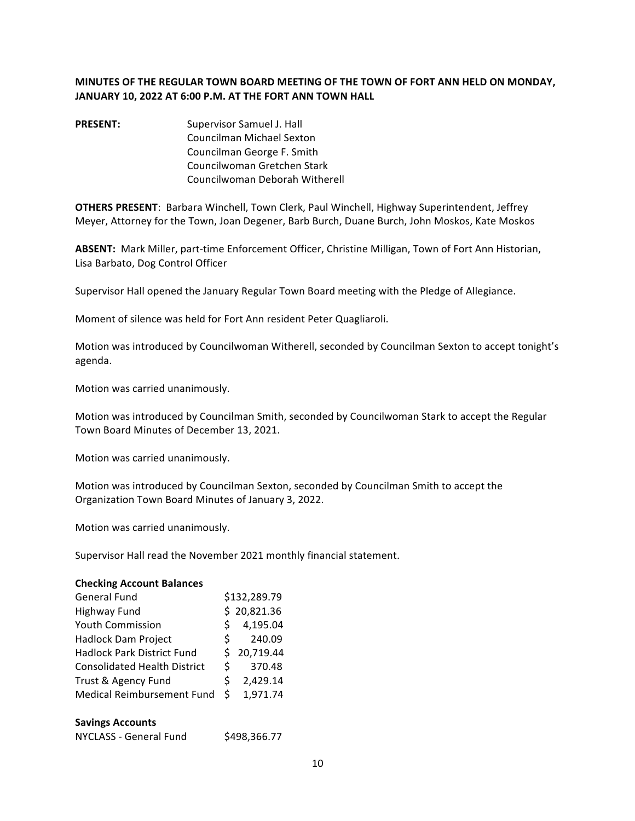# **MINUTES OF THE REGULAR TOWN BOARD MEETING OF THE TOWN OF FORT ANN HELD ON MONDAY, JANUARY 10, 2022 AT 6:00 P.M. AT THE FORT ANN TOWN HALL**

**PRESENT:** Supervisor Samuel J. Hall Councilman Michael Sexton Councilman George F. Smith Councilwoman Gretchen Stark Councilwoman Deborah Witherell

**OTHERS PRESENT:** Barbara Winchell, Town Clerk, Paul Winchell, Highway Superintendent, Jeffrey Meyer, Attorney for the Town, Joan Degener, Barb Burch, Duane Burch, John Moskos, Kate Moskos

ABSENT: Mark Miller, part-time Enforcement Officer, Christine Milligan, Town of Fort Ann Historian, Lisa Barbato, Dog Control Officer

Supervisor Hall opened the January Regular Town Board meeting with the Pledge of Allegiance.

Moment of silence was held for Fort Ann resident Peter Quagliaroli.

Motion was introduced by Councilwoman Witherell, seconded by Councilman Sexton to accept tonight's agenda.

Motion was carried unanimously.

Motion was introduced by Councilman Smith, seconded by Councilwoman Stark to accept the Regular Town Board Minutes of December 13, 2021.

Motion was carried unanimously.

Motion was introduced by Councilman Sexton, seconded by Councilman Smith to accept the Organization Town Board Minutes of January 3, 2022.

Motion was carried unanimously.

Supervisor Hall read the November 2021 monthly financial statement.

#### **Checking Account Balances**

| <b>General Fund</b>                 |    | \$132,289.79 |
|-------------------------------------|----|--------------|
| Highway Fund                        |    | \$20,821.36  |
| <b>Youth Commission</b>             | Š. | 4,195.04     |
| Hadlock Dam Project                 | S. | 240.09       |
| <b>Hadlock Park District Fund</b>   |    | \$20,719.44  |
| <b>Consolidated Health District</b> | Ś  | 370.48       |
| Trust & Agency Fund                 | Š. | 2,429.14     |
| Medical Reimbursement Fund          | Ś  | 1,971.74     |

#### **Savings Accounts**

| NYCLASS - General Fund | \$498,366.77 |
|------------------------|--------------|
|------------------------|--------------|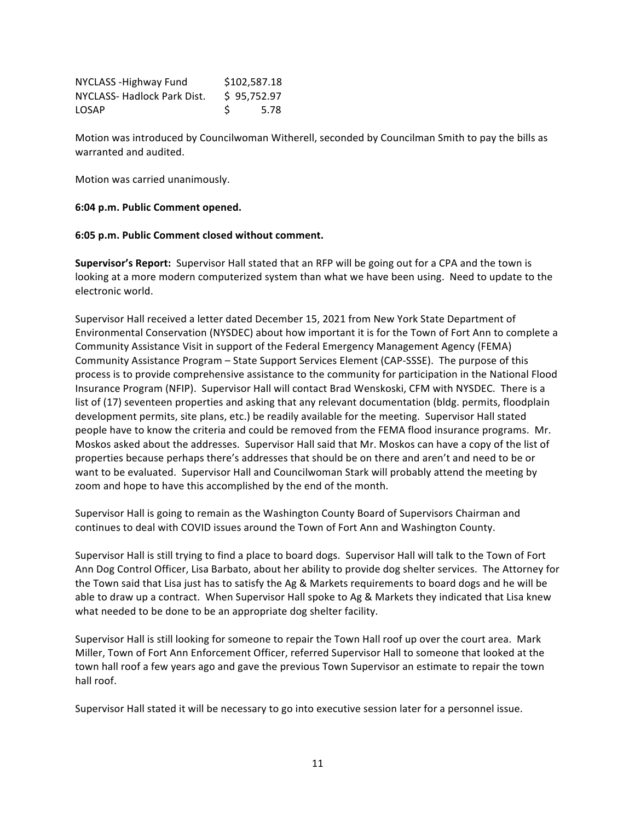| NYCLASS - Highway Fund     | \$102,587.18 |
|----------------------------|--------------|
| NYCLASS-Hadlock Park Dist. | \$95,752.97  |
| LOSAP                      | 5.78         |

Motion was introduced by Councilwoman Witherell, seconded by Councilman Smith to pay the bills as warranted and audited.

Motion was carried unanimously.

### **6:04 p.m. Public Comment opened.**

### **6:05 p.m. Public Comment closed without comment.**

**Supervisor's Report:** Supervisor Hall stated that an RFP will be going out for a CPA and the town is looking at a more modern computerized system than what we have been using. Need to update to the electronic world.

Supervisor Hall received a letter dated December 15, 2021 from New York State Department of Environmental Conservation (NYSDEC) about how important it is for the Town of Fort Ann to complete a Community Assistance Visit in support of the Federal Emergency Management Agency (FEMA) Community Assistance Program – State Support Services Element (CAP-SSSE). The purpose of this process is to provide comprehensive assistance to the community for participation in the National Flood Insurance Program (NFIP). Supervisor Hall will contact Brad Wenskoski, CFM with NYSDEC. There is a list of (17) seventeen properties and asking that any relevant documentation (bldg. permits, floodplain development permits, site plans, etc.) be readily available for the meeting. Supervisor Hall stated people have to know the criteria and could be removed from the FEMA flood insurance programs. Mr. Moskos asked about the addresses. Supervisor Hall said that Mr. Moskos can have a copy of the list of properties because perhaps there's addresses that should be on there and aren't and need to be or want to be evaluated. Supervisor Hall and Councilwoman Stark will probably attend the meeting by zoom and hope to have this accomplished by the end of the month.

Supervisor Hall is going to remain as the Washington County Board of Supervisors Chairman and continues to deal with COVID issues around the Town of Fort Ann and Washington County.

Supervisor Hall is still trying to find a place to board dogs. Supervisor Hall will talk to the Town of Fort Ann Dog Control Officer, Lisa Barbato, about her ability to provide dog shelter services. The Attorney for the Town said that Lisa just has to satisfy the Ag & Markets requirements to board dogs and he will be able to draw up a contract. When Supervisor Hall spoke to Ag & Markets they indicated that Lisa knew what needed to be done to be an appropriate dog shelter facility.

Supervisor Hall is still looking for someone to repair the Town Hall roof up over the court area. Mark Miller, Town of Fort Ann Enforcement Officer, referred Supervisor Hall to someone that looked at the town hall roof a few years ago and gave the previous Town Supervisor an estimate to repair the town hall roof.

Supervisor Hall stated it will be necessary to go into executive session later for a personnel issue.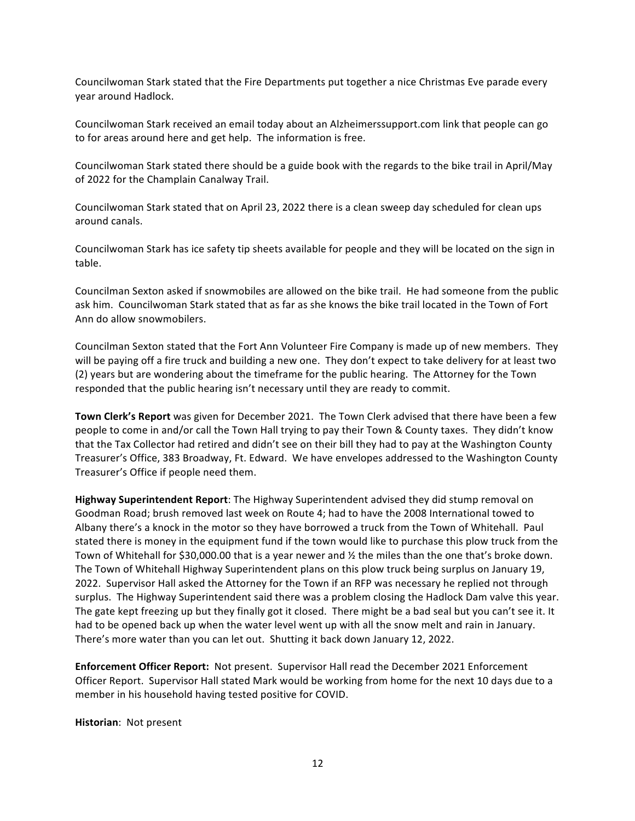Councilwoman Stark stated that the Fire Departments put together a nice Christmas Eve parade every year around Hadlock.

Councilwoman Stark received an email today about an Alzheimerssupport.com link that people can go to for areas around here and get help. The information is free.

Councilwoman Stark stated there should be a guide book with the regards to the bike trail in April/May of 2022 for the Champlain Canalway Trail.

Councilwoman Stark stated that on April 23, 2022 there is a clean sweep day scheduled for clean ups around canals.

Councilwoman Stark has ice safety tip sheets available for people and they will be located on the sign in table.

Councilman Sexton asked if snowmobiles are allowed on the bike trail. He had someone from the public ask him. Councilwoman Stark stated that as far as she knows the bike trail located in the Town of Fort Ann do allow snowmobilers.

Councilman Sexton stated that the Fort Ann Volunteer Fire Company is made up of new members. They will be paying off a fire truck and building a new one. They don't expect to take delivery for at least two (2) years but are wondering about the timeframe for the public hearing. The Attorney for the Town responded that the public hearing isn't necessary until they are ready to commit.

Town Clerk's Report was given for December 2021. The Town Clerk advised that there have been a few people to come in and/or call the Town Hall trying to pay their Town & County taxes. They didn't know that the Tax Collector had retired and didn't see on their bill they had to pay at the Washington County Treasurer's Office, 383 Broadway, Ft. Edward. We have envelopes addressed to the Washington County Treasurer's Office if people need them.

**Highway Superintendent Report:** The Highway Superintendent advised they did stump removal on Goodman Road; brush removed last week on Route 4; had to have the 2008 International towed to Albany there's a knock in the motor so they have borrowed a truck from the Town of Whitehall. Paul stated there is money in the equipment fund if the town would like to purchase this plow truck from the Town of Whitehall for \$30,000.00 that is a year newer and  $\frac{1}{2}$  the miles than the one that's broke down. The Town of Whitehall Highway Superintendent plans on this plow truck being surplus on January 19, 2022. Supervisor Hall asked the Attorney for the Town if an RFP was necessary he replied not through surplus. The Highway Superintendent said there was a problem closing the Hadlock Dam valve this year. The gate kept freezing up but they finally got it closed. There might be a bad seal but you can't see it. It had to be opened back up when the water level went up with all the snow melt and rain in January. There's more water than you can let out. Shutting it back down January 12, 2022.

**Enforcement Officer Report:** Not present. Supervisor Hall read the December 2021 Enforcement Officer Report. Supervisor Hall stated Mark would be working from home for the next 10 days due to a member in his household having tested positive for COVID.

**Historian: Not present**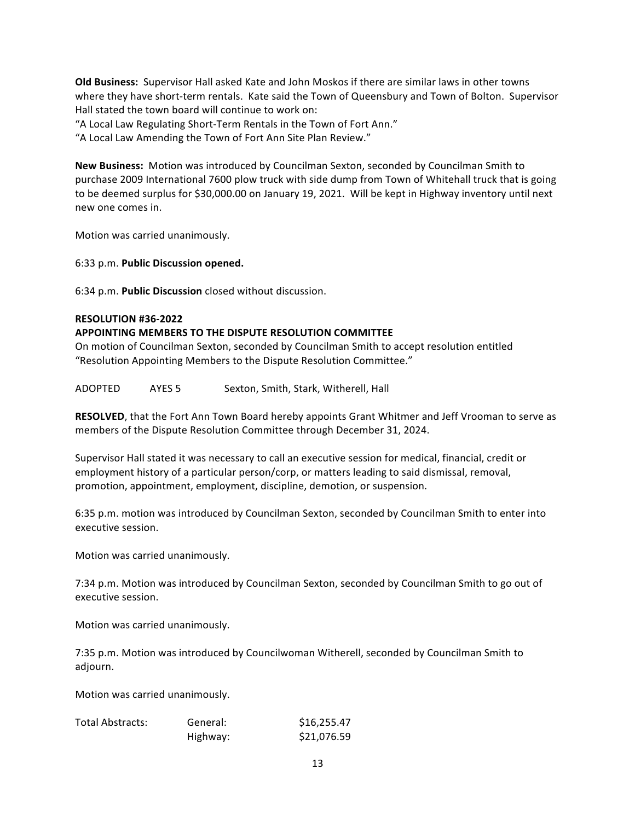**Old Business:** Supervisor Hall asked Kate and John Moskos if there are similar laws in other towns where they have short-term rentals. Kate said the Town of Queensbury and Town of Bolton. Supervisor Hall stated the town board will continue to work on:

"A Local Law Regulating Short-Term Rentals in the Town of Fort Ann."

"A Local Law Amending the Town of Fort Ann Site Plan Review."

**New Business:** Motion was introduced by Councilman Sexton, seconded by Councilman Smith to purchase 2009 International 7600 plow truck with side dump from Town of Whitehall truck that is going to be deemed surplus for \$30,000.00 on January 19, 2021. Will be kept in Highway inventory until next new one comes in.

Motion was carried unanimously.

6:33 p.m. **Public Discussion opened.**

6:34 p.m. **Public Discussion** closed without discussion.

# **RESOLUTION #36-2022**

# **APPOINTING MEMBERS TO THE DISPUTE RESOLUTION COMMITTEE**

On motion of Councilman Sexton, seconded by Councilman Smith to accept resolution entitled "Resolution Appointing Members to the Dispute Resolution Committee."

ADOPTED AYES 5 Sexton, Smith, Stark, Witherell, Hall

**RESOLVED**, that the Fort Ann Town Board hereby appoints Grant Whitmer and Jeff Vrooman to serve as members of the Dispute Resolution Committee through December 31, 2024.

Supervisor Hall stated it was necessary to call an executive session for medical, financial, credit or employment history of a particular person/corp, or matters leading to said dismissal, removal, promotion, appointment, employment, discipline, demotion, or suspension.

6:35 p.m. motion was introduced by Councilman Sexton, seconded by Councilman Smith to enter into executive session.

Motion was carried unanimously.

7:34 p.m. Motion was introduced by Councilman Sexton, seconded by Councilman Smith to go out of executive session.

Motion was carried unanimously.

7:35 p.m. Motion was introduced by Councilwoman Witherell, seconded by Councilman Smith to adjourn.

Motion was carried unanimously.

| <b>Total Abstracts:</b> | General: | \$16,255.47 |
|-------------------------|----------|-------------|
|                         | Highway: | \$21,076.59 |